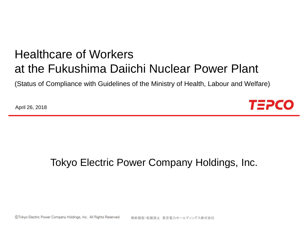# Healthcare of Workers at the Fukushima Daiichi Nuclear Power Plant

(Status of Compliance with Guidelines of the Ministry of Health, Labour and Welfare)

April 26, 2018



### Tokyo Electric Power Company Holdings, Inc.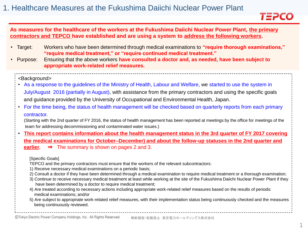

#### **As measures for the healthcare of the workers at the Fukushima Daiichi Nuclear Power Plant, the primary contractors and TEPCO have established and are using a system to address the following workers.**

- Target: Workers who have been determined through medical examinations to **"require thorough examinations," "require medical treatment," or "require continued medical treatment."**
- Purpose: Ensuring that the above workers **have consulted a doctor and, as needed, have been subject to appropriate work-related relief measures.**

#### <Background>

- As a response to the guidelines of the Ministry of Health, Labour and Welfare, we started to use the system in July/August 2016 (partially in August), with assistance from the primary contractors and using the specific goals and guidance provided by the University of Occupational and Environmental Health, Japan.
- For the time being, the status of health management will be checked based on quarterly reports from each primary contractor.
	- (Starting with the 2nd quarter of FY 2016, the status of health management has been reported at meetings by the office for meetings of the team for addressing decommissioning and contaminated water issues.)
- **This report contains information about the health management status in the 3rd quarter of FY 2017 covering the medical examinations for October–December) and about the follow-up statuses in the 2nd quarter and earlier.** ⇒ The summary is shown on pages 2 and 3.

#### [Specific Goals]

- TEPCO and the primary contractors must ensure that the workers of the relevant subcontractors:
- 1) Receive necessary medical examinations on a periodic basis;
- 2) Consult a doctor if they have been determined through a medical examination to require medical treatment or a thorough examination;
- 3) Continue to receive necessary medical treatment at least while working at the site of the Fukushima Daiichi Nuclear Power Plant if they have been determined by a doctor to require medical treatment;
- 4) Are treated according to necessary actions including appropriate work-related relief measures based on the results of periodic medical examinations; and/or
- 5) Are subject to appropriate work-related relief measures, with their implementation status being continuously checked and the measures being continuously reviewed.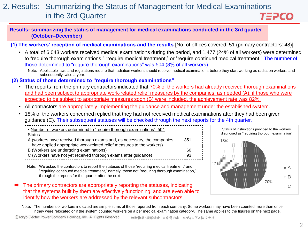#### 2. Results: Summarizing the Status of Management for Medical Examinations in the 3rd Quarter TEPCO

**Results: summarizing the status of management for medical examinations conducted in the 3rd quarter (October–December)**

**(1) The workers' reception of medical examinations and the results** [No. of offices covered: 51 (primary contractors: 48)]

- A total of 6,043 workers received medical examinations during the period, and 1,477 (24% of all workers) were determined to "require thorough examinations," "require medical treatment," or "require continued medical treatment." The number of those determined to "require thorough examinations" was 504 (8% of all workers).
	- Note: Applicable laws and regulations require that radiation workers should receive medical examinations before they start working as radiation workers and subsequently twice a year.

#### **(2) Status of those determined to "require thorough examinations"**

- The reports from the primary contractors indicated that 70% of the workers had already received thorough examinations and had been subject to appropriate work-related relief measures by the companies, as needed (A); if those who were expected to be subject to appropriate measures soon (B) were included, the achievement rate was 82%.
- All contractors are appropriately implementing the guidance and management under the established system.
- 18% of the workers concerned replied that they had not received medical examinations after they had been given guidance (C). Their subsequent statuses will be checked through the next reports for the 4th quarter.

| Number of workers determined to "require thorough examinations": 504     |     |
|--------------------------------------------------------------------------|-----|
| i Status                                                                 |     |
| A (workers have received thorough exams and, as necessary, the companies | 351 |
| have applied appropriate work-related relief measures to the workers)    |     |
| $\frac{1}{2}$ B (Workers are undergoing examinations)                    | 60  |
| C (Workers have not yet received thorough exams after guidance)          | 93  |
|                                                                          |     |

Note: We asked the contractors to report the statuses of those "requiring medical treatment" and "requiring continued medical treatment," namely, those not "requiring thorough examination," through the reports for the quarter after the next.

⇒ The primary contractors are appropriately reporting the statuses, indicating that the systems built by them are effectively functioning, and are even able to identify how the workers are addressed by the relevant subcontractors.



Note: The numbers of workers indicated are simple sums of those reported from each company. Some workers may have been counted more than once if they were relocated or if the system counted workers on a per medical examination category. The same applies to the figures on the next page.